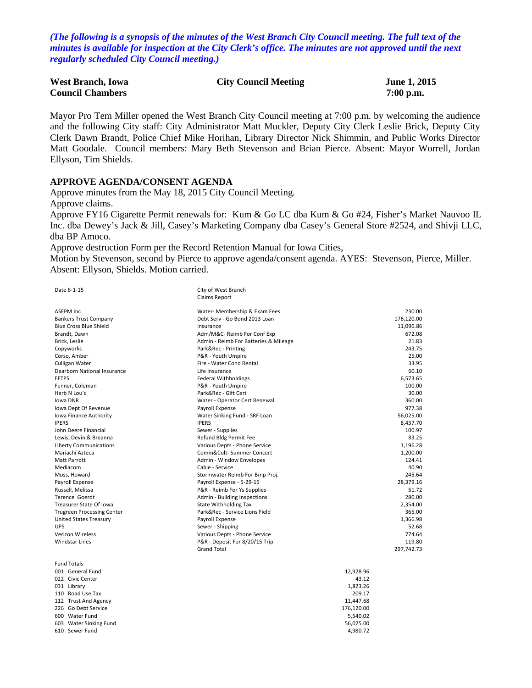*(The following is a synopsis of the minutes of the West Branch City Council meeting. The full text of the minutes is available for inspection at the City Clerk's office. The minutes are not approved until the next regularly scheduled City Council meeting.)*

| <b>West Branch, Iowa</b> | <b>City Council Meeting</b> | June 1, 2015 |
|--------------------------|-----------------------------|--------------|
| <b>Council Chambers</b>  |                             | $7:00$ p.m.  |

Mayor Pro Tem Miller opened the West Branch City Council meeting at 7:00 p.m. by welcoming the audience and the following City staff: City Administrator Matt Muckler, Deputy City Clerk Leslie Brick, Deputy City Clerk Dawn Brandt, Police Chief Mike Horihan, Library Director Nick Shimmin, and Public Works Director Matt Goodale. Council members: Mary Beth Stevenson and Brian Pierce. Absent: Mayor Worrell, Jordan Ellyson, Tim Shields.

#### **APPROVE AGENDA/CONSENT AGENDA**

Approve minutes from the May 18, 2015 City Council Meeting. Approve claims.

Approve FY16 Cigarette Permit renewals for: Kum & Go LC dba Kum & Go #24, Fisher's Market Nauvoo IL Inc. dba Dewey's Jack & Jill, Casey's Marketing Company dba Casey's General Store #2524, and Shivji LLC, dba BP Amoco.

Approve destruction Form per the Record Retention Manual for Iowa Cities,

Motion by Stevenson, second by Pierce to approve agenda/consent agenda. AYES: Stevenson, Pierce, Miller. Absent: Ellyson, Shields. Motion carried.

Date 6-1-15 City of West Branch Claims Report

| <b>ASFPM Inc</b>                  | Water- Membership & Exam Fees         | 230.00     |
|-----------------------------------|---------------------------------------|------------|
| <b>Bankers Trust Company</b>      | Debt Serv - Go Bond 2013 Loan         | 176,120.00 |
| <b>Blue Cross Blue Shield</b>     | Insurance                             | 11,096.86  |
| Brandt. Dawn                      | Adm/M&C- Reimb For Conf Exp           | 672.08     |
| Brick, Leslie                     | Admin - Reimb For Batteries & Mileage | 21.83      |
| Copyworks                         | Park&Rec - Printing                   | 243.75     |
| Corso, Amber                      | P&R - Youth Umpire                    | 25.00      |
| Culligan Water                    | Fire - Water Cond Rental              | 33.95      |
| Dearborn National Insurance       | Life Insurance                        | 60.10      |
| <b>EFTPS</b>                      | <b>Federal Withholdings</b>           | 6,573.65   |
| Fenner, Coleman                   | P&R - Youth Umpire                    | 100.00     |
| Herb N Lou's                      | Park&Rec - Gift Cert                  | 30.00      |
| Iowa DNR                          | Water - Operator Cert Renewal         | 360.00     |
| Iowa Dept Of Revenue              | Payroll Expense                       | 977.38     |
| Iowa Finance Authority            | Water Sinking Fund - SRF Loan         | 56,025.00  |
| <b>IPERS</b>                      | <b>IPERS</b>                          | 8,437.70   |
| John Deere Financial              | Sewer - Supplies                      | 100.97     |
| Lewis, Devin & Breanna            | Refund Bldg Permit Fee                | 83.25      |
| <b>Liberty Communications</b>     | Various Depts - Phone Service         | 1,196.28   |
| Mariachi Azteca                   | Comm&Cult-Summer Concert              | 1,200.00   |
| <b>Matt Parrott</b>               | Admin - Window Envelopes              | 124.41     |
| Mediacom                          | Cable - Service                       | 40.90      |
| Moss, Howard                      | Stormwater Reimb For Bmp Proj.        | 245.64     |
| Payroll Expense                   | Payroll Expense - 5-29-15             | 28,379.16  |
| Russell, Melissa                  | P&R - Reimb For Ys Supplies           | 51.72      |
| Terence Goerdt                    | Admin - Building Inspections          | 280.00     |
| Treasurer State Of Iowa           | <b>State Withholding Tax</b>          | 2,354.00   |
| <b>Trugreen Processing Center</b> | Park&Rec - Service Lions Field        | 365.00     |
| <b>United States Treasury</b>     | Payroll Expense                       | 1.366.98   |
| <b>UPS</b>                        | Sewer - Shipping                      | 52.68      |
| <b>Verizon Wireless</b>           | Various Depts - Phone Service         | 774.64     |
| <b>Windstar Lines</b>             | P&R - Deposit For 8/20/15 Trip        | 119.80     |
|                                   | <b>Grand Total</b>                    | 297,742.73 |
| <b>Fund Totals</b>                |                                       |            |
| 001 General Fund                  |                                       | 12,928.96  |
| 022 Civic Center                  | 43.12                                 |            |
| 031 Library                       |                                       | 1,823.26   |
| 110 Road Use Tax                  |                                       | 209.17     |
| 112 Trust And Agency              |                                       | 11,447.68  |
| 226 Go Debt Service               |                                       | 176,120.00 |

600 Water Fund 5,540.02 603 Water Sinking Fund 56,025.00 610 Sewer Fund 4,980.72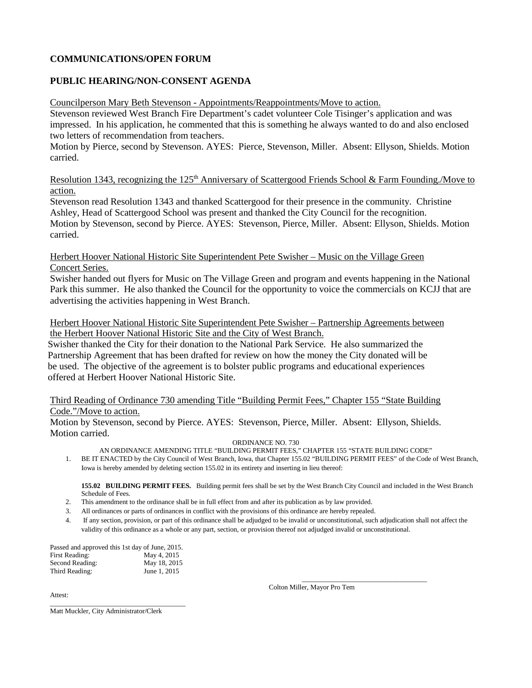## **COMMUNICATIONS/OPEN FORUM**

# **PUBLIC HEARING/NON-CONSENT AGENDA**

Councilperson Mary Beth Stevenson - Appointments/Reappointments/Move to action.

Stevenson reviewed West Branch Fire Department's cadet volunteer Cole Tisinger's application and was impressed. In his application, he commented that this is something he always wanted to do and also enclosed two letters of recommendation from teachers.

Motion by Pierce, second by Stevenson. AYES: Pierce, Stevenson, Miller. Absent: Ellyson, Shields. Motion carried.

Resolution 1343, recognizing the 125<sup>th</sup> Anniversary of Scattergood Friends School & Farm Founding./Move to action.

Stevenson read Resolution 1343 and thanked Scattergood for their presence in the community. Christine Ashley, Head of Scattergood School was present and thanked the City Council for the recognition. Motion by Stevenson, second by Pierce. AYES: Stevenson, Pierce, Miller. Absent: Ellyson, Shields. Motion carried.

Herbert Hoover National Historic Site Superintendent Pete Swisher – Music on the Village Green Concert Series.

Swisher handed out flyers for Music on The Village Green and program and events happening in the National Park this summer. He also thanked the Council for the opportunity to voice the commercials on KCJJ that are advertising the activities happening in West Branch.

Herbert Hoover National Historic Site Superintendent Pete Swisher – Partnership Agreements between the Herbert Hoover National Historic Site and the City of West Branch.

 Swisher thanked the City for their donation to the National Park Service. He also summarized the Partnership Agreement that has been drafted for review on how the money the City donated will be be used. The objective of the agreement is to bolster public programs and educational experiences offered at Herbert Hoover National Historic Site.

Third Reading of Ordinance 730 amending Title "Building Permit Fees," Chapter 155 "State Building Code."/Move to action.

Motion by Stevenson, second by Pierce. AYES: Stevenson, Pierce, Miller. Absent: Ellyson, Shields. Motion carried.

ORDINANCE NO. 730

AN ORDINANCE AMENDING TITLE "BUILDING PERMIT FEES," CHAPTER 155 "STATE BUILDING CODE"

1. BE IT ENACTED by the City Council of West Branch, Iowa, that Chapter 155.02 "BUILDING PERMIT FEES" of the Code of West Branch, Iowa is hereby amended by deleting section 155.02 in its entirety and inserting in lieu thereof:

**155.02 BUILDING PERMIT FEES.** Building permit fees shall be set by the West Branch City Council and included in the West Branch Schedule of Fees.

- 2. This amendment to the ordinance shall be in full effect from and after its publication as by law provided.
- 3. All ordinances or parts of ordinances in conflict with the provisions of this ordinance are hereby repealed.
- 4. If any section, provision, or part of this ordinance shall be adjudged to be invalid or unconstitutional, such adjudication shall not affect the validity of this ordinance as a whole or any part, section, or provision thereof not adjudged invalid or unconstitutional.

| Passed and approved this 1st day of June, 2015. |              |
|-------------------------------------------------|--------------|
| First Reading:                                  | May 4, 2015  |
| Second Reading:                                 | May 18, 2015 |
| Third Reading:                                  | June 1, 2015 |

\_\_\_\_\_\_\_\_\_\_\_\_\_\_\_\_\_\_\_\_\_\_\_\_\_\_\_\_\_\_\_\_\_\_\_\_\_\_\_

Attest:

Colton Miller, Mayor Pro Tem

\_\_\_\_\_\_\_\_\_\_\_\_\_\_\_\_\_\_\_\_\_\_\_\_\_\_\_\_\_\_\_\_\_\_\_\_

Matt Muckler, City Administrator/Clerk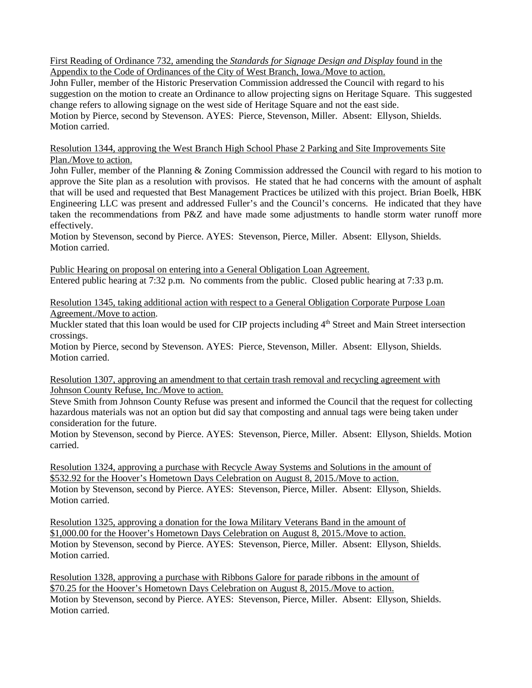First Reading of Ordinance 732, amending the *Standards for Signage Design and Display* found in the Appendix to the Code of Ordinances of the City of West Branch, Iowa./Move to action.

John Fuller, member of the Historic Preservation Commission addressed the Council with regard to his suggestion on the motion to create an Ordinance to allow projecting signs on Heritage Square. This suggested change refers to allowing signage on the west side of Heritage Square and not the east side. Motion by Pierce, second by Stevenson. AYES: Pierce, Stevenson, Miller. Absent: Ellyson, Shields. Motion carried.

Resolution 1344, approving the West Branch High School Phase 2 Parking and Site Improvements Site Plan./Move to action.

John Fuller, member of the Planning & Zoning Commission addressed the Council with regard to his motion to approve the Site plan as a resolution with provisos. He stated that he had concerns with the amount of asphalt that will be used and requested that Best Management Practices be utilized with this project. Brian Boelk, HBK Engineering LLC was present and addressed Fuller's and the Council's concerns. He indicated that they have taken the recommendations from P&Z and have made some adjustments to handle storm water runoff more effectively.

Motion by Stevenson, second by Pierce. AYES: Stevenson, Pierce, Miller. Absent: Ellyson, Shields. Motion carried.

Public Hearing on proposal on entering into a General Obligation Loan Agreement. Entered public hearing at 7:32 p.m. No comments from the public. Closed public hearing at 7:33 p.m.

Resolution 1345, taking additional action with respect to a General Obligation Corporate Purpose Loan Agreement./Move to action.

Muckler stated that this loan would be used for CIP projects including 4<sup>th</sup> Street and Main Street intersection crossings.

Motion by Pierce, second by Stevenson. AYES: Pierce, Stevenson, Miller. Absent: Ellyson, Shields. Motion carried.

Resolution 1307, approving an amendment to that certain trash removal and recycling agreement with Johnson County Refuse, Inc./Move to action.

Steve Smith from Johnson County Refuse was present and informed the Council that the request for collecting hazardous materials was not an option but did say that composting and annual tags were being taken under consideration for the future.

Motion by Stevenson, second by Pierce. AYES: Stevenson, Pierce, Miller. Absent: Ellyson, Shields. Motion carried.

Resolution 1324, approving a purchase with Recycle Away Systems and Solutions in the amount of \$532.92 for the Hoover's Hometown Days Celebration on August 8, 2015./Move to action. Motion by Stevenson, second by Pierce. AYES: Stevenson, Pierce, Miller. Absent: Ellyson, Shields. Motion carried.

Resolution 1325, approving a donation for the Iowa Military Veterans Band in the amount of \$1,000.00 for the Hoover's Hometown Days Celebration on August 8, 2015./Move to action. Motion by Stevenson, second by Pierce. AYES: Stevenson, Pierce, Miller. Absent: Ellyson, Shields. Motion carried.

Resolution 1328, approving a purchase with Ribbons Galore for parade ribbons in the amount of \$70.25 for the Hoover's Hometown Days Celebration on August 8, 2015./Move to action. Motion by Stevenson, second by Pierce. AYES: Stevenson, Pierce, Miller. Absent: Ellyson, Shields. Motion carried.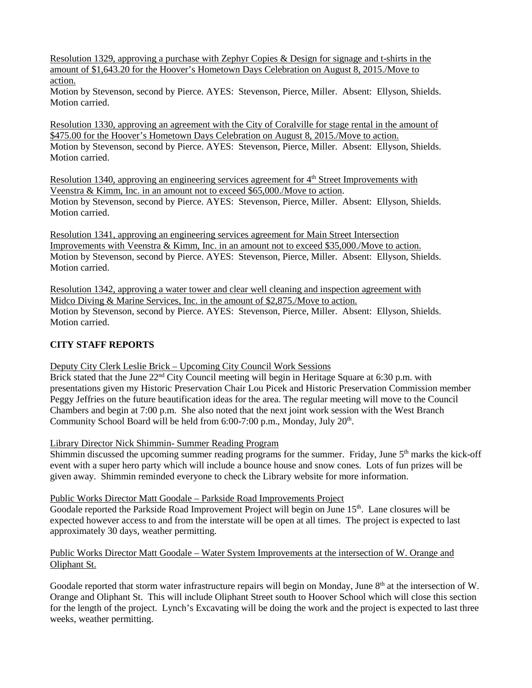Resolution 1329, approving a purchase with Zephyr Copies & Design for signage and t-shirts in the amount of \$1,643.20 for the Hoover's Hometown Days Celebration on August 8, 2015./Move to action.

Motion by Stevenson, second by Pierce. AYES: Stevenson, Pierce, Miller. Absent: Ellyson, Shields. Motion carried.

Resolution 1330, approving an agreement with the City of Coralville for stage rental in the amount of \$475.00 for the Hoover's Hometown Days Celebration on August 8, 2015./Move to action. Motion by Stevenson, second by Pierce. AYES: Stevenson, Pierce, Miller. Absent: Ellyson, Shields. Motion carried.

Resolution 1340, approving an engineering services agreement for 4<sup>th</sup> Street Improvements with Veenstra & Kimm, Inc. in an amount not to exceed \$65,000./Move to action. Motion by Stevenson, second by Pierce. AYES: Stevenson, Pierce, Miller. Absent: Ellyson, Shields. Motion carried.

Resolution 1341, approving an engineering services agreement for Main Street Intersection Improvements with Veenstra & Kimm, Inc. in an amount not to exceed \$35,000./Move to action. Motion by Stevenson, second by Pierce. AYES: Stevenson, Pierce, Miller. Absent: Ellyson, Shields. Motion carried.

Resolution 1342, approving a water tower and clear well cleaning and inspection agreement with Midco Diving & Marine Services, Inc. in the amount of \$2,875./Move to action. Motion by Stevenson, second by Pierce. AYES: Stevenson, Pierce, Miller. Absent: Ellyson, Shields. Motion carried.

# **CITY STAFF REPORTS**

Deputy City Clerk Leslie Brick – Upcoming City Council Work Sessions

Brick stated that the June 22<sup>nd</sup> City Council meeting will begin in Heritage Square at 6:30 p.m. with presentations given my Historic Preservation Chair Lou Picek and Historic Preservation Commission member Peggy Jeffries on the future beautification ideas for the area. The regular meeting will move to the Council Chambers and begin at 7:00 p.m. She also noted that the next joint work session with the West Branch Community School Board will be held from  $6:00-7:00$  p.m., Monday, July  $20<sup>th</sup>$ .

Library Director Nick Shimmin- Summer Reading Program

Shimmin discussed the upcoming summer reading programs for the summer. Friday, June  $5<sup>th</sup>$  marks the kick-off event with a super hero party which will include a bounce house and snow cones. Lots of fun prizes will be given away. Shimmin reminded everyone to check the Library website for more information.

Public Works Director Matt Goodale – Parkside Road Improvements Project

Goodale reported the Parkside Road Improvement Project will begin on June 15<sup>th</sup>. Lane closures will be expected however access to and from the interstate will be open at all times. The project is expected to last approximately 30 days, weather permitting.

### Public Works Director Matt Goodale – Water System Improvements at the intersection of W. Orange and Oliphant St.

Goodale reported that storm water infrastructure repairs will begin on Monday, June 8<sup>th</sup> at the intersection of W. Orange and Oliphant St. This will include Oliphant Street south to Hoover School which will close this section for the length of the project. Lynch's Excavating will be doing the work and the project is expected to last three weeks, weather permitting.